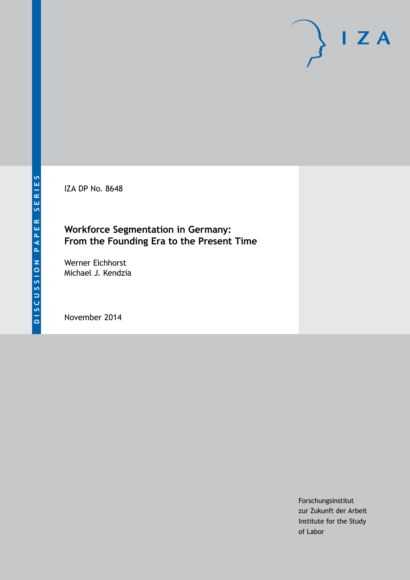IZA DP No. 8648

### **Workforce Segmentation in Germany: From the Founding Era to the Present Time**

Werner Eichhorst Michael J. Kendzia

November 2014

Forschungsinstitut zur Zukunft der Arbeit Institute for the Study of Labor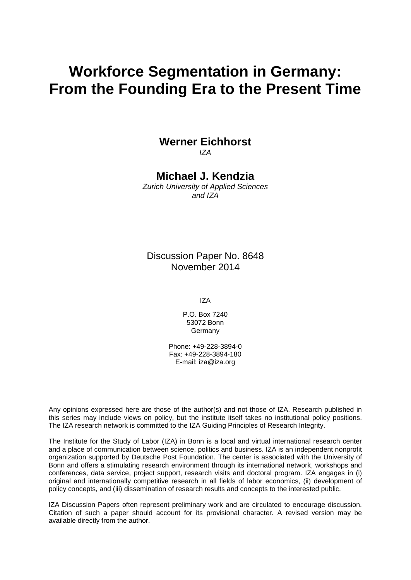# **Workforce Segmentation in Germany: From the Founding Era to the Present Time**

# **Werner Eichhorst**

*IZA*

### **Michael J. Kendzia**

*Zurich University of Applied Sciences and IZA*

Discussion Paper No. 8648 November 2014

IZA

P.O. Box 7240 53072 Bonn Germany

Phone: +49-228-3894-0 Fax: +49-228-3894-180 E-mail: [iza@iza.org](mailto:iza@iza.org)

Any opinions expressed here are those of the author(s) and not those of IZA. Research published in this series may include views on policy, but the institute itself takes no institutional policy positions. The IZA research network is committed to the IZA Guiding Principles of Research Integrity.

The Institute for the Study of Labor (IZA) in Bonn is a local and virtual international research center and a place of communication between science, politics and business. IZA is an independent nonprofit organization supported by Deutsche Post Foundation. The center is associated with the University of Bonn and offers a stimulating research environment through its international network, workshops and conferences, data service, project support, research visits and doctoral program. IZA engages in (i) original and internationally competitive research in all fields of labor economics, (ii) development of policy concepts, and (iii) dissemination of research results and concepts to the interested public.

<span id="page-1-0"></span>IZA Discussion Papers often represent preliminary work and are circulated to encourage discussion. Citation of such a paper should account for its provisional character. A revised version may be available directly from the author.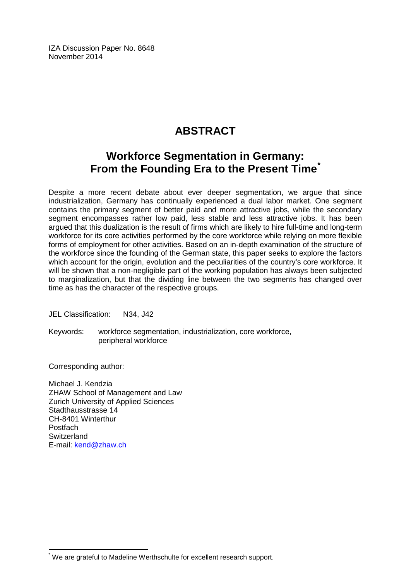IZA Discussion Paper No. 8648 November 2014

# **ABSTRACT**

## **Workforce Segmentation in Germany: From the Founding Era to the Present Time[\\*](#page-1-0)**

Despite a more recent debate about ever deeper segmentation, we argue that since industrialization, Germany has continually experienced a dual labor market. One segment contains the primary segment of better paid and more attractive jobs, while the secondary segment encompasses rather low paid, less stable and less attractive jobs. It has been argued that this dualization is the result of firms which are likely to hire full-time and long-term workforce for its core activities performed by the core workforce while relying on more flexible forms of employment for other activities. Based on an in-depth examination of the structure of the workforce since the founding of the German state, this paper seeks to explore the factors which account for the origin, evolution and the peculiarities of the country's core workforce. It will be shown that a non-negligible part of the working population has always been subjected to marginalization, but that the dividing line between the two segments has changed over time as has the character of the respective groups.

JEL Classification: N34, J42

Keywords: workforce segmentation, industrialization, core workforce, peripheral workforce

Corresponding author:

Michael J. Kendzia ZHAW School of Management and Law Zurich University of Applied Sciences Stadthausstrasse 14 CH-8401 Winterthur Postfach **Switzerland** E-mail: [kend@zhaw.ch](mailto:kend@zhaw.ch)

\* We are grateful to Madeline Werthschulte for excellent research support.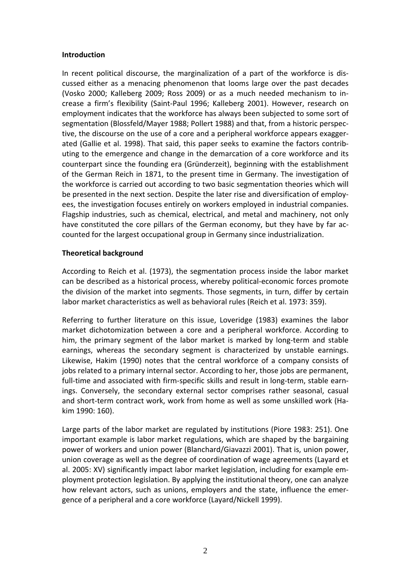#### **Introduction**

In recent political discourse, the marginalization of a part of the workforce is discussed either as a menacing phenomenon that looms large over the past decades (Vosko 2000; Kalleberg 2009; Ross 2009) or as a much needed mechanism to increase a firm's flexibility (Saint-Paul 1996; Kalleberg 2001). However, research on employment indicates that the workforce has always been subjected to some sort of segmentation (Blossfeld/Mayer 1988; Pollert 1988) and that, from a historic perspective, the discourse on the use of a core and a peripheral workforce appears exaggerated (Gallie et al. 1998). That said, this paper seeks to examine the factors contributing to the emergence and change in the demarcation of a core workforce and its counterpart since the founding era (Gründerzeit), beginning with the establishment of the German Reich in 1871, to the present time in Germany. The investigation of the workforce is carried out according to two basic segmentation theories which will be presented in the next section. Despite the later rise and diversification of employees, the investigation focuses entirely on workers employed in industrial companies. Flagship industries, such as chemical, electrical, and metal and machinery, not only have constituted the core pillars of the German economy, but they have by far accounted for the largest occupational group in Germany since industrialization.

#### **Theoretical background**

According to Reich et al. (1973), the segmentation process inside the labor market can be described as a historical process, whereby political-economic forces promote the division of the market into segments. Those segments, in turn, differ by certain labor market characteristics as well as behavioral rules (Reich et al. 1973: 359).

Referring to further literature on this issue, Loveridge (1983) examines the labor market dichotomization between a core and a peripheral workforce. According to him, the primary segment of the labor market is marked by long-term and stable earnings, whereas the secondary segment is characterized by unstable earnings. Likewise, Hakim (1990) notes that the central workforce of a company consists of jobs related to a primary internal sector. According to her, those jobs are permanent, full-time and associated with firm-specific skills and result in long-term, stable earnings. Conversely, the secondary external sector comprises rather seasonal, casual and short-term contract work, work from home as well as some unskilled work (Hakim 1990: 160).

Large parts of the labor market are regulated by institutions (Piore 1983: 251). One important example is labor market regulations, which are shaped by the bargaining power of workers and union power (Blanchard/Giavazzi 2001). That is, union power, union coverage as well as the degree of coordination of wage agreements (Layard et al. 2005: XV) significantly impact labor market legislation, including for example employment protection legislation. By applying the institutional theory, one can analyze how relevant actors, such as unions, employers and the state, influence the emergence of a peripheral and a core workforce (Layard/Nickell 1999).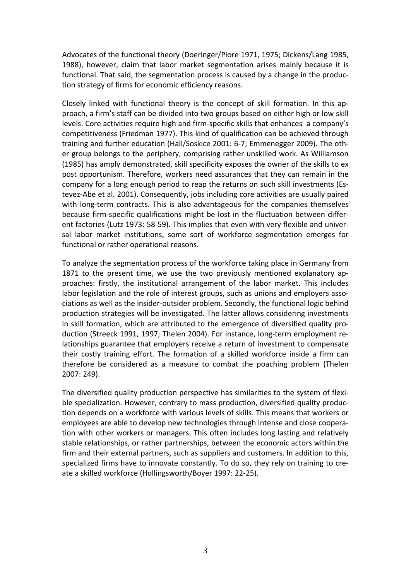Advocates of the functional theory (Doeringer/Piore 1971, 1975; Dickens/Lang 1985, 1988), however, claim that labor market segmentation arises mainly because it is functional. That said, the segmentation process is caused by a change in the production strategy of firms for economic efficiency reasons.

Closely linked with functional theory is the concept of skill formation. In this approach, a firm's staff can be divided into two groups based on either high or low skill levels. Core activities require high and firm-specific skills that enhances a company's competitiveness (Friedman 1977). This kind of qualification can be achieved through training and further education (Hall/Soskice 2001: 6-7; Emmenegger 2009). The other group belongs to the periphery, comprising rather unskilled work. As Williamson (1985) has amply demonstrated, skill specificity exposes the owner of the skills to ex post opportunism. Therefore, workers need assurances that they can remain in the company for a long enough period to reap the returns on such skill investments (Estevez-Abe et al. 2001). Consequently, jobs including core activities are usually paired with long-term contracts. This is also advantageous for the companies themselves because firm-specific qualifications might be lost in the fluctuation between different factories (Lutz 1973: 58-59). This implies that even with very flexible and universal labor market institutions, some sort of workforce segmentation emerges for functional or rather operational reasons.

To analyze the segmentation process of the workforce taking place in Germany from 1871 to the present time, we use the two previously mentioned explanatory approaches: firstly, the institutional arrangement of the labor market. This includes labor legislation and the role of interest groups, such as unions and employers associations as well as the insider-outsider problem. Secondly, the functional logic behind production strategies will be investigated. The latter allows considering investments in skill formation, which are attributed to the emergence of diversified quality production (Streeck 1991, 1997; Thelen 2004). For instance, long-term employment relationships guarantee that employers receive a return of investment to compensate their costly training effort. The formation of a skilled workforce inside a firm can therefore be considered as a measure to combat the poaching problem (Thelen 2007: 249).

The diversified quality production perspective has similarities to the system of flexible specialization. However, contrary to mass production, diversified quality production depends on a workforce with various levels of skills. This means that workers or employees are able to develop new technologies through intense and close cooperation with other workers or managers. This often includes long lasting and relatively stable relationships, or rather partnerships, between the economic actors within the firm and their external partners, such as suppliers and customers. In addition to this, specialized firms have to innovate constantly. To do so, they rely on training to create a skilled workforce (Hollingsworth/Boyer 1997: 22-25).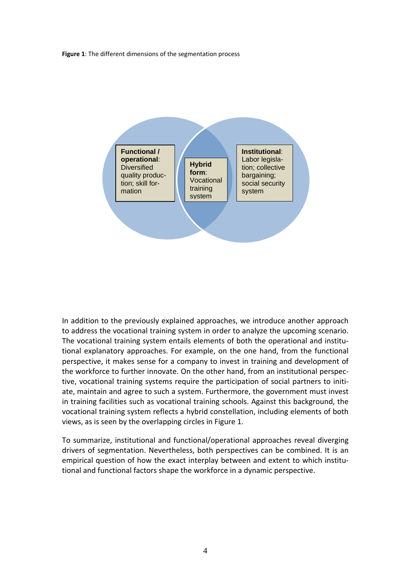**Figure 1**: The different dimensions of the segmentation process



In addition to the previously explained approaches, we introduce another approach to address the vocational training system in order to analyze the upcoming scenario. The vocational training system entails elements of both the operational and institutional explanatory approaches. For example, on the one hand, from the functional perspective, it makes sense for a company to invest in training and development of the workforce to further innovate. On the other hand, from an institutional perspective, vocational training systems require the participation of social partners to initiate, maintain and agree to such a system. Furthermore, the government must invest in training facilities such as vocational training schools. Against this background, the vocational training system reflects a hybrid constellation, including elements of both views, as is seen by the overlapping circles in Figure 1.

To summarize, institutional and functional/operational approaches reveal diverging drivers of segmentation. Nevertheless, both perspectives can be combined. It is an empirical question of how the exact interplay between and extent to which institutional and functional factors shape the workforce in a dynamic perspective.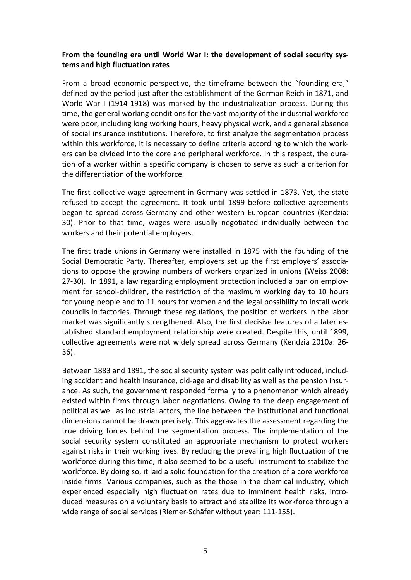#### **From the founding era until World War I: the development of social security systems and high fluctuation rates**

From a broad economic perspective, the timeframe between the "founding era," defined by the period just after the establishment of the German Reich in 1871, and World War I (1914-1918) was marked by the industrialization process. During this time, the general working conditions for the vast majority of the industrial workforce were poor, including long working hours, heavy physical work, and a general absence of social insurance institutions. Therefore, to first analyze the segmentation process within this workforce, it is necessary to define criteria according to which the workers can be divided into the core and peripheral workforce. In this respect, the duration of a worker within a specific company is chosen to serve as such a criterion for the differentiation of the workforce.

The first collective wage agreement in Germany was settled in 1873. Yet, the state refused to accept the agreement. It took until 1899 before collective agreements began to spread across Germany and other western European countries (Kendzia: 30). Prior to that time, wages were usually negotiated individually between the workers and their potential employers.

The first trade unions in Germany were installed in 1875 with the founding of the Social Democratic Party. Thereafter, employers set up the first employers' associations to oppose the growing numbers of workers organized in unions (Weiss 2008: 27-30). In 1891, a law regarding employment protection included a ban on employment for school-children, the restriction of the maximum working day to 10 hours for young people and to 11 hours for women and the legal possibility to install work councils in factories. Through these regulations, the position of workers in the labor market was significantly strengthened. Also, the first decisive features of a later established standard employment relationship were created. Despite this, until 1899, collective agreements were not widely spread across Germany (Kendzia 2010a: 26- 36).

Between 1883 and 1891, the social security system was politically introduced, including accident and health insurance, old-age and disability as well as the pension insurance. As such, the government responded formally to a phenomenon which already existed within firms through labor negotiations. Owing to the deep engagement of political as well as industrial actors, the line between the institutional and functional dimensions cannot be drawn precisely. This aggravates the assessment regarding the true driving forces behind the segmentation process. The implementation of the social security system constituted an appropriate mechanism to protect workers against risks in their working lives. By reducing the prevailing high fluctuation of the workforce during this time, it also seemed to be a useful instrument to stabilize the workforce. By doing so, it laid a solid foundation for the creation of a core workforce inside firms. Various companies, such as the those in the chemical industry, which experienced especially high fluctuation rates due to imminent health risks, introduced measures on a voluntary basis to attract and stabilize its workforce through a wide range of social services (Riemer-Schäfer without year: 111-155).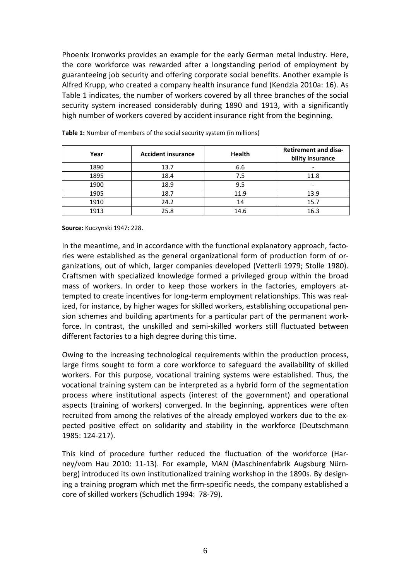Phoenix Ironworks provides an example for the early German metal industry. Here, the core workforce was rewarded after a longstanding period of employment by guaranteeing job security and offering corporate social benefits. Another example is Alfred Krupp, who created a company health insurance fund (Kendzia 2010a: 16). As Table 1 indicates, the number of workers covered by all three branches of the social security system increased considerably during 1890 and 1913, with a significantly high number of workers covered by accident insurance right from the beginning.

| Year | <b>Accident insurance</b> | <b>Health</b> | <b>Retirement and disa-</b><br>bility insurance |
|------|---------------------------|---------------|-------------------------------------------------|
| 1890 | 13.7                      | 6.6           |                                                 |
| 1895 | 18.4                      | 7.5           | 11.8                                            |
| 1900 | 18.9                      | 9.5           | $\overline{\phantom{a}}$                        |
| 1905 | 18.7                      | 11.9          | 13.9                                            |
| 1910 | 24.2                      | 14            | 15.7                                            |
| 1913 | 25.8                      | 14.6          | 16.3                                            |

**Table 1:** Number of members of the social security system (in millions)

**Source:** Kuczynski 1947: 228.

In the meantime, and in accordance with the functional explanatory approach, factories were established as the general organizational form of production form of organizations, out of which, larger companies developed (Vetterli 1979; Stolle 1980). Craftsmen with specialized knowledge formed a privileged group within the broad mass of workers. In order to keep those workers in the factories, employers attempted to create incentives for long-term employment relationships. This was realized, for instance, by higher wages for skilled workers, establishing occupational pension schemes and building apartments for a particular part of the permanent workforce. In contrast, the unskilled and semi-skilled workers still fluctuated between different factories to a high degree during this time.

Owing to the increasing technological requirements within the production process, large firms sought to form a core workforce to safeguard the availability of skilled workers. For this purpose, vocational training systems were established. Thus, the vocational training system can be interpreted as a hybrid form of the segmentation process where institutional aspects (interest of the government) and operational aspects (training of workers) converged. In the beginning, apprentices were often recruited from among the relatives of the already employed workers due to the expected positive effect on solidarity and stability in the workforce (Deutschmann 1985: 124-217).

This kind of procedure further reduced the fluctuation of the workforce (Harney/vom Hau 2010: 11-13). For example, MAN (Maschinenfabrik Augsburg Nürnberg) introduced its own institutionalized training workshop in the 1890s. By designing a training program which met the firm-specific needs, the company established a core of skilled workers (Schudlich 1994: 78-79).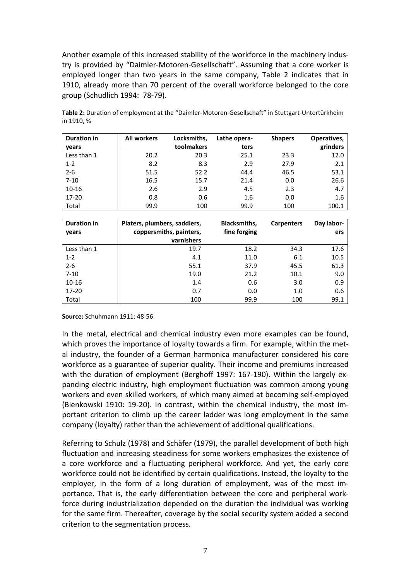Another example of this increased stability of the workforce in the machinery industry is provided by "Daimler-Motoren-Gesellschaft". Assuming that a core worker is employed longer than two years in the same company, Table 2 indicates that in 1910, already more than 70 percent of the overall workforce belonged to the core group (Schudlich 1994: 78-79).

| <b>Duration in</b> | <b>All workers</b> | Locksmiths, | Lathe opera- | <b>Shapers</b> | Operatives, |
|--------------------|--------------------|-------------|--------------|----------------|-------------|
| years              |                    | toolmakers  | tors         |                | grinders    |
| Less than 1        | 20.2               | 20.3        | 25.1         | 23.3           | 12.0        |
| $1 - 2$            | 8.2                | 8.3         | 2.9          | 27.9           | 2.1         |
| $2 - 6$            | 51.5               | 52.2        | 44.4         | 46.5           | 53.1        |
| $7 - 10$           | 16.5               | 15.7        | 21.4         | 0.0            | 26.6        |
| $10 - 16$          | 2.6                | 2.9         | 4.5          | 2.3            | 4.7         |
| 17-20              | 0.8                | 0.6         | 1.6          | 0.0            | 1.6         |
| Total              | 99.9               | 100         | 99.9         | 100            | 100.1       |

**Table 2:** Duration of employment at the "Daimler-Motoren-Gesellschaft" in Stuttgart-Untertürkheim in 1910, %

| <b>Duration in</b><br>years | Platers, plumbers, saddlers,<br>coppersmiths, painters,<br>varnishers | <b>Blacksmiths,</b><br>fine forging | <b>Carpenters</b> | Day labor-<br>ers |
|-----------------------------|-----------------------------------------------------------------------|-------------------------------------|-------------------|-------------------|
| Less than 1                 | 19.7                                                                  | 18.2                                | 34.3              | 17.6              |
| $1 - 2$                     | 4.1                                                                   | 11.0                                | 6.1               | 10.5              |
| $2 - 6$                     | 55.1                                                                  | 37.9                                | 45.5              | 61.3              |
| $7 - 10$                    | 19.0                                                                  | 21.2                                | 10.1              | 9.0               |
| $10 - 16$                   | 1.4                                                                   | 0.6                                 | 3.0               | 0.9               |
| $17 - 20$                   | 0.7                                                                   | 0.0                                 | 1.0               | 0.6               |
| Total                       | 100                                                                   | 99.9                                | 100               | 99.1              |

**Source:** Schuhmann 1911: 48-56.

In the metal, electrical and chemical industry even more examples can be found, which proves the importance of loyalty towards a firm. For example, within the metal industry, the founder of a German harmonica manufacturer considered his core workforce as a guarantee of superior quality. Their income and premiums increased with the duration of employment (Berghoff 1997: 167-190). Within the largely expanding electric industry, high employment fluctuation was common among young workers and even skilled workers, of which many aimed at becoming self-employed (Bienkowski 1910: 19-20). In contrast, within the chemical industry, the most important criterion to climb up the career ladder was long employment in the same company (loyalty) rather than the achievement of additional qualifications.

Referring to Schulz (1978) and Schäfer (1979), the parallel development of both high fluctuation and increasing steadiness for some workers emphasizes the existence of a core workforce and a fluctuating peripheral workforce. And yet, the early core workforce could not be identified by certain qualifications. Instead, the loyalty to the employer, in the form of a long duration of employment, was of the most importance. That is, the early differentiation between the core and peripheral workforce during industrialization depended on the duration the individual was working for the same firm. Thereafter, coverage by the social security system added a second criterion to the segmentation process.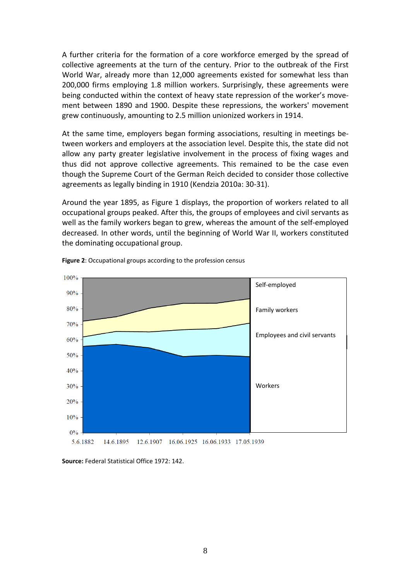A further criteria for the formation of a core workforce emerged by the spread of collective agreements at the turn of the century. Prior to the outbreak of the First World War, already more than 12,000 agreements existed for somewhat less than 200,000 firms employing 1.8 million workers. Surprisingly, these agreements were being conducted within the context of heavy state repression of the worker's movement between 1890 and 1900. Despite these repressions, the workers' movement grew continuously, amounting to 2.5 million unionized workers in 1914.

At the same time, employers began forming associations, resulting in meetings between workers and employers at the association level. Despite this, the state did not allow any party greater legislative involvement in the process of fixing wages and thus did not approve collective agreements. This remained to be the case even though the Supreme Court of the German Reich decided to consider those collective agreements as legally binding in 1910 (Kendzia 2010a: 30-31).

Around the year 1895, as Figure 1 displays, the proportion of workers related to all occupational groups peaked. After this, the groups of employees and civil servants as well as the family workers began to grew, whereas the amount of the self-employed decreased. In other words, until the beginning of World War II, workers constituted the dominating occupational group.



**Figure 2**: Occupational groups according to the profession census

**Source:** Federal Statistical Office 1972: 142.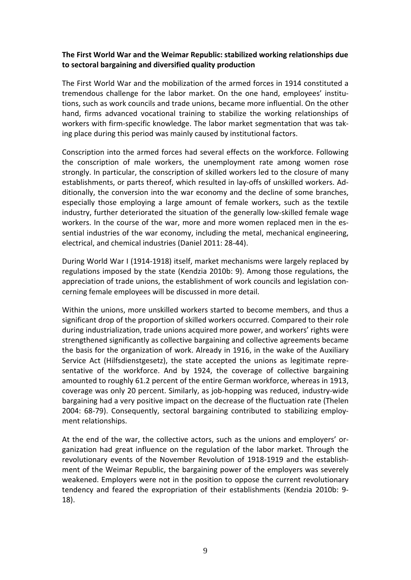#### **The First World War and the Weimar Republic: stabilized working relationships due to sectoral bargaining and diversified quality production**

The First World War and the mobilization of the armed forces in 1914 constituted a tremendous challenge for the labor market. On the one hand, employees' institutions, such as work councils and trade unions, became more influential. On the other hand, firms advanced vocational training to stabilize the working relationships of workers with firm-specific knowledge. The labor market segmentation that was taking place during this period was mainly caused by institutional factors.

Conscription into the armed forces had several effects on the workforce. Following the conscription of male workers, the unemployment rate among women rose strongly. In particular, the conscription of skilled workers led to the closure of many establishments, or parts thereof, which resulted in lay-offs of unskilled workers. Additionally, the conversion into the war economy and the decline of some branches, especially those employing a large amount of female workers, such as the textile industry, further deteriorated the situation of the generally low-skilled female wage workers. In the course of the war, more and more women replaced men in the essential industries of the war economy, including the metal, mechanical engineering, electrical, and chemical industries (Daniel 2011: 28-44).

During World War I (1914-1918) itself, market mechanisms were largely replaced by regulations imposed by the state (Kendzia 2010b: 9). Among those regulations, the appreciation of trade unions, the establishment of work councils and legislation concerning female employees will be discussed in more detail.

Within the unions, more unskilled workers started to become members, and thus a significant drop of the proportion of skilled workers occurred. Compared to their role during industrialization, trade unions acquired more power, and workers' rights were strengthened significantly as collective bargaining and collective agreements became the basis for the organization of work. Already in 1916, in the wake of the Auxiliary Service Act (Hilfsdienstgesetz), the state accepted the unions as legitimate representative of the workforce. And by 1924, the coverage of collective bargaining amounted to roughly 61.2 percent of the entire German workforce, whereas in 1913, coverage was only 20 percent. Similarly, as job-hopping was reduced, industry-wide bargaining had a very positive impact on the decrease of the fluctuation rate (Thelen 2004: 68-79). Consequently, sectoral bargaining contributed to stabilizing employment relationships.

At the end of the war, the collective actors, such as the unions and employers' organization had great influence on the regulation of the labor market. Through the revolutionary events of the November Revolution of 1918-1919 and the establishment of the Weimar Republic, the bargaining power of the employers was severely weakened. Employers were not in the position to oppose the current revolutionary tendency and feared the expropriation of their establishments (Kendzia 2010b: 9- 18).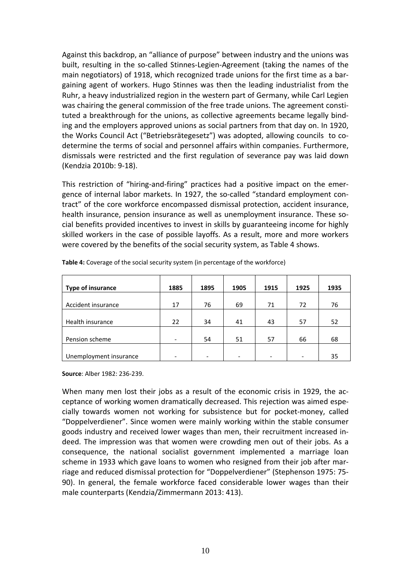Against this backdrop, an "alliance of purpose" between industry and the unions was built, resulting in the so-called Stinnes-Legien-Agreement (taking the names of the main negotiators) of 1918, which recognized trade unions for the first time as a bargaining agent of workers. Hugo Stinnes was then the leading industrialist from the Ruhr, a heavy industrialized region in the western part of Germany, while Carl Legien was chairing the general commission of the free trade unions. The agreement constituted a breakthrough for the unions, as collective agreements became legally binding and the employers approved unions as social partners from that day on. In 1920, the Works Council Act ("Betriebsrätegesetz") was adopted, allowing councils to codetermine the terms of social and personnel affairs within companies. Furthermore, dismissals were restricted and the first regulation of severance pay was laid down (Kendzia 2010b: 9-18).

This restriction of "hiring-and-firing" practices had a positive impact on the emergence of internal labor markets. In 1927, the so-called "standard employment contract" of the core workforce encompassed dismissal protection, accident insurance, health insurance, pension insurance as well as unemployment insurance. These social benefits provided incentives to invest in skills by guaranteeing income for highly skilled workers in the case of possible layoffs. As a result, more and more workers were covered by the benefits of the social security system, as Table 4 shows.

| <b>Type of insurance</b> | 1885 | 1895 | 1905 | 1915                     | 1925            | 1935 |
|--------------------------|------|------|------|--------------------------|-----------------|------|
| Accident insurance       | 17   | 76   | 69   | 71                       | 72              | 76   |
|                          |      |      |      |                          |                 |      |
| Health insurance         | 22   | 34   | 41   | 43                       | 57              | 52   |
|                          |      |      |      |                          |                 |      |
| Pension scheme           |      | 54   | 51   | 57                       | 66              | 68   |
|                          |      |      |      |                          |                 |      |
| Unemployment insurance   |      |      |      | $\overline{\phantom{0}}$ | $\qquad \qquad$ | 35   |

**Table 4:** Coverage of the social security system (in percentage of the workforce)

**Source**: Alber 1982: 236-239.

When many men lost their jobs as a result of the economic crisis in 1929, the acceptance of working women dramatically decreased. This rejection was aimed especially towards women not working for subsistence but for pocket-money, called "Doppelverdiener". Since women were mainly working within the stable consumer goods industry and received lower wages than men, their recruitment increased indeed. The impression was that women were crowding men out of their jobs. As a consequence, the national socialist government implemented a marriage loan scheme in 1933 which gave loans to women who resigned from their job after marriage and reduced dismissal protection for "Doppelverdiener" (Stephenson 1975: 75- 90). In general, the female workforce faced considerable lower wages than their male counterparts (Kendzia/Zimmermann 2013: 413).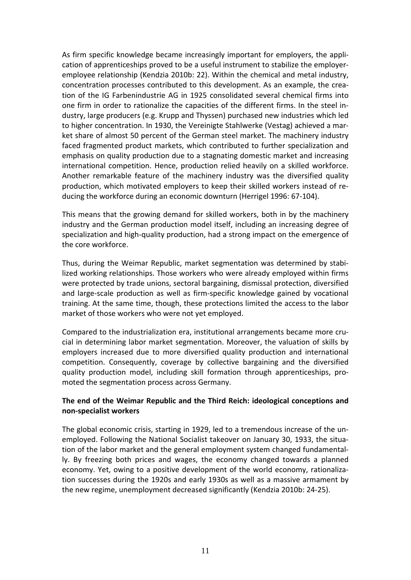As firm specific knowledge became increasingly important for employers, the application of apprenticeships proved to be a useful instrument to stabilize the employeremployee relationship (Kendzia 2010b: 22). Within the chemical and metal industry, concentration processes contributed to this development. As an example, the creation of the IG Farbenindustrie AG in 1925 consolidated several chemical firms into one firm in order to rationalize the capacities of the different firms. In the steel industry, large producers (e.g. Krupp and Thyssen) purchased new industries which led to higher concentration. In 1930, the Vereinigte Stahlwerke (Vestag) achieved a market share of almost 50 percent of the German steel market. The machinery industry faced fragmented product markets, which contributed to further specialization and emphasis on quality production due to a stagnating domestic market and increasing international competition. Hence, production relied heavily on a skilled workforce. Another remarkable feature of the machinery industry was the diversified quality production, which motivated employers to keep their skilled workers instead of reducing the workforce during an economic downturn (Herrigel 1996: 67-104).

This means that the growing demand for skilled workers, both in by the machinery industry and the German production model itself, including an increasing degree of specialization and high-quality production, had a strong impact on the emergence of the core workforce.

Thus, during the Weimar Republic, market segmentation was determined by stabilized working relationships. Those workers who were already employed within firms were protected by trade unions, sectoral bargaining, dismissal protection, diversified and large-scale production as well as firm-specific knowledge gained by vocational training. At the same time, though, these protections limited the access to the labor market of those workers who were not yet employed.

Compared to the industrialization era, institutional arrangements became more crucial in determining labor market segmentation. Moreover, the valuation of skills by employers increased due to more diversified quality production and international competition. Consequently, coverage by collective bargaining and the diversified quality production model, including skill formation through apprenticeships, promoted the segmentation process across Germany.

#### **The end of the Weimar Republic and the Third Reich: ideological conceptions and non-specialist workers**

The global economic crisis, starting in 1929, led to a tremendous increase of the unemployed. Following the National Socialist takeover on January 30, 1933, the situation of the labor market and the general employment system changed fundamentally. By freezing both prices and wages, the economy changed towards a planned economy. Yet, owing to a positive development of the world economy, rationalization successes during the 1920s and early 1930s as well as a massive armament by the new regime, unemployment decreased significantly (Kendzia 2010b: 24-25).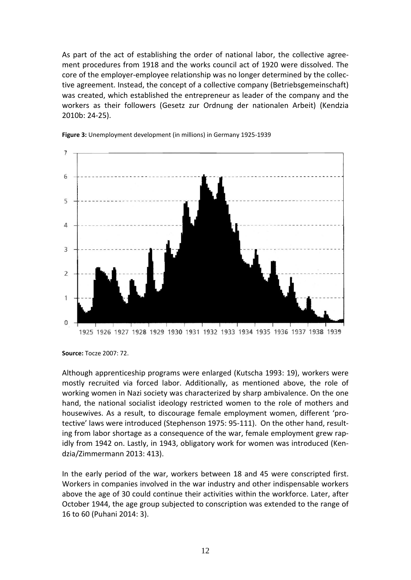As part of the act of establishing the order of national labor, the collective agreement procedures from 1918 and the works council act of 1920 were dissolved. The core of the employer-employee relationship was no longer determined by the collective agreement. Instead, the concept of a collective company (Betriebsgemeinschaft) was created, which established the entrepreneur as leader of the company and the workers as their followers (Gesetz zur Ordnung der nationalen Arbeit) (Kendzia 2010b: 24-25).





Although apprenticeship programs were enlarged (Kutscha 1993: 19), workers were mostly recruited via forced labor. Additionally, as mentioned above, the role of working women in Nazi society was characterized by sharp ambivalence. On the one hand, the national socialist ideology restricted women to the role of mothers and housewives. As a result, to discourage female employment women, different 'protective' laws were introduced (Stephenson 1975: 95-111). On the other hand, resulting from labor shortage as a consequence of the war, female employment grew rapidly from 1942 on. Lastly, in 1943, obligatory work for women was introduced (Kendzia/Zimmermann 2013: 413).

In the early period of the war, workers between 18 and 45 were conscripted first. Workers in companies involved in the war industry and other indispensable workers above the age of 30 could continue their activities within the workforce. Later, after October 1944, the age group subjected to conscription was extended to the range of 16 to 60 (Puhani 2014: 3).

**Source:** Tocze 2007: 72.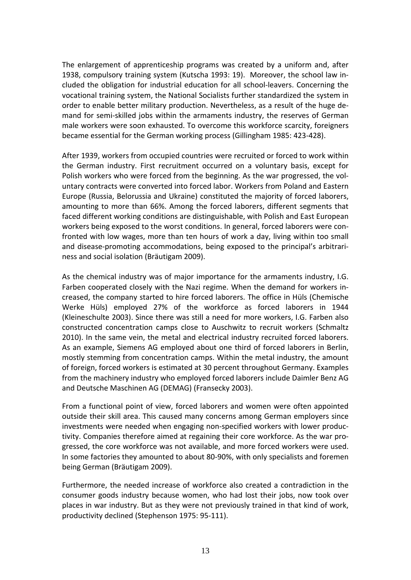The enlargement of apprenticeship programs was created by a uniform and, after 1938, compulsory training system (Kutscha 1993: 19). Moreover, the school law included the obligation for industrial education for all school-leavers. Concerning the vocational training system, the National Socialists further standardized the system in order to enable better military production. Nevertheless, as a result of the huge demand for semi-skilled jobs within the armaments industry, the reserves of German male workers were soon exhausted. To overcome this workforce scarcity, foreigners became essential for the German working process (Gillingham 1985: 423-428).

After 1939, workers from occupied countries were recruited or forced to work within the German industry. First recruitment occurred on a voluntary basis, except for Polish workers who were forced from the beginning. As the war progressed, the voluntary contracts were converted into forced labor. Workers from Poland and Eastern Europe (Russia, Belorussia and Ukraine) constituted the majority of forced laborers, amounting to more than 66%. Among the forced laborers, different segments that faced different working conditions are distinguishable, with Polish and East European workers being exposed to the worst conditions. In general, forced laborers were confronted with low wages, more than ten hours of work a day, living within too small and disease-promoting accommodations, being exposed to the principal's arbitrariness and social isolation (Bräutigam 2009).

As the chemical industry was of major importance for the armaments industry, I.G. Farben cooperated closely with the Nazi regime. When the demand for workers increased, the company started to hire forced laborers. The office in Hüls (Chemische Werke Hüls) employed 27% of the workforce as forced laborers in 1944 (Kleineschulte 2003). Since there was still a need for more workers, I.G. Farben also constructed concentration camps close to Auschwitz to recruit workers (Schmaltz 2010). In the same vein, the metal and electrical industry recruited forced laborers. As an example, Siemens AG employed about one third of forced laborers in Berlin, mostly stemming from concentration camps. Within the metal industry, the amount of foreign, forced workers is estimated at 30 percent throughout Germany. Examples from the machinery industry who employed forced laborers include Daimler Benz AG and Deutsche Maschinen AG (DEMAG) (Fransecky 2003).

From a functional point of view, forced laborers and women were often appointed outside their skill area. This caused many concerns among German employers since investments were needed when engaging non-specified workers with lower productivity. Companies therefore aimed at regaining their core workforce. As the war progressed, the core workforce was not available, and more forced workers were used. In some factories they amounted to about 80-90%, with only specialists and foremen being German (Bräutigam 2009).

Furthermore, the needed increase of workforce also created a contradiction in the consumer goods industry because women, who had lost their jobs, now took over places in war industry. But as they were not previously trained in that kind of work, productivity declined (Stephenson 1975: 95-111).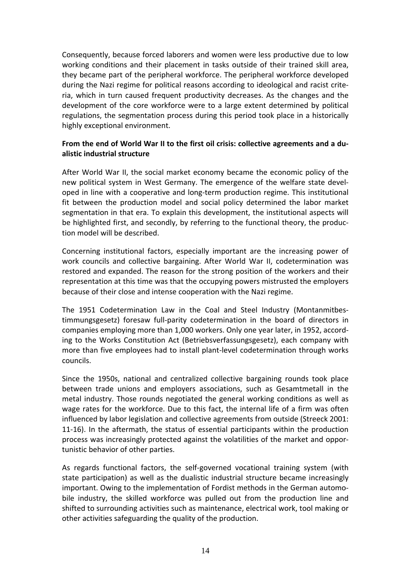Consequently, because forced laborers and women were less productive due to low working conditions and their placement in tasks outside of their trained skill area, they became part of the peripheral workforce. The peripheral workforce developed during the Nazi regime for political reasons according to ideological and racist criteria, which in turn caused frequent productivity decreases. As the changes and the development of the core workforce were to a large extent determined by political regulations, the segmentation process during this period took place in a historically highly exceptional environment.

#### **From the end of World War II to the first oil crisis: collective agreements and a dualistic industrial structure**

After World War II, the social market economy became the economic policy of the new political system in West Germany. The emergence of the welfare state developed in line with a cooperative and long-term production regime. This institutional fit between the production model and social policy determined the labor market segmentation in that era. To explain this development, the institutional aspects will be highlighted first, and secondly, by referring to the functional theory, the production model will be described.

Concerning institutional factors, especially important are the increasing power of work councils and collective bargaining. After World War II, codetermination was restored and expanded. The reason for the strong position of the workers and their representation at this time was that the occupying powers mistrusted the employers because of their close and intense cooperation with the Nazi regime.

The 1951 Codetermination Law in the Coal and Steel Industry (Montanmitbestimmungsgesetz) foresaw full-parity codetermination in the board of directors in companies employing more than 1,000 workers. Only one year later, in 1952, according to the Works Constitution Act (Betriebsverfassungsgesetz), each company with more than five employees had to install plant-level codetermination through works councils.

Since the 1950s, national and centralized collective bargaining rounds took place between trade unions and employers associations, such as Gesamtmetall in the metal industry. Those rounds negotiated the general working conditions as well as wage rates for the workforce. Due to this fact, the internal life of a firm was often influenced by labor legislation and collective agreements from outside (Streeck 2001: 11-16). In the aftermath, the status of essential participants within the production process was increasingly protected against the volatilities of the market and opportunistic behavior of other parties.

As regards functional factors, the self-governed vocational training system (with state participation) as well as the dualistic industrial structure became increasingly important. Owing to the implementation of Fordist methods in the German automobile industry, the skilled workforce was pulled out from the production line and shifted to surrounding activities such as maintenance, electrical work, tool making or other activities safeguarding the quality of the production.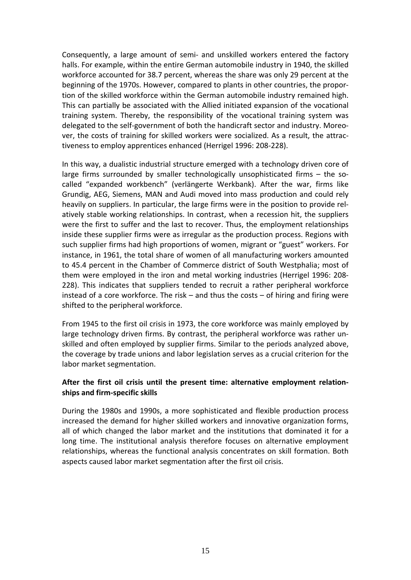Consequently, a large amount of semi- and unskilled workers entered the factory halls. For example, within the entire German automobile industry in 1940, the skilled workforce accounted for 38.7 percent, whereas the share was only 29 percent at the beginning of the 1970s. However, compared to plants in other countries, the proportion of the skilled workforce within the German automobile industry remained high. This can partially be associated with the Allied initiated expansion of the vocational training system. Thereby, the responsibility of the vocational training system was delegated to the self-government of both the handicraft sector and industry. Moreover, the costs of training for skilled workers were socialized. As a result, the attractiveness to employ apprentices enhanced (Herrigel 1996: 208-228).

In this way, a dualistic industrial structure emerged with a technology driven core of large firms surrounded by smaller technologically unsophisticated firms – the socalled "expanded workbench" (verlängerte Werkbank). After the war, firms like Grundig, AEG, Siemens, MAN and Audi moved into mass production and could rely heavily on suppliers. In particular, the large firms were in the position to provide relatively stable working relationships. In contrast, when a recession hit, the suppliers were the first to suffer and the last to recover. Thus, the employment relationships inside these supplier firms were as irregular as the production process. Regions with such supplier firms had high proportions of women, migrant or "guest" workers. For instance, in 1961, the total share of women of all manufacturing workers amounted to 45.4 percent in the Chamber of Commerce district of South Westphalia; most of them were employed in the iron and metal working industries (Herrigel 1996: 208- 228). This indicates that suppliers tended to recruit a rather peripheral workforce instead of a core workforce. The risk – and thus the costs – of hiring and firing were shifted to the peripheral workforce.

From 1945 to the first oil crisis in 1973, the core workforce was mainly employed by large technology driven firms. By contrast, the peripheral workforce was rather unskilled and often employed by supplier firms. Similar to the periods analyzed above, the coverage by trade unions and labor legislation serves as a crucial criterion for the labor market segmentation.

#### **After the first oil crisis until the present time: alternative employment relationships and firm-specific skills**

During the 1980s and 1990s, a more sophisticated and flexible production process increased the demand for higher skilled workers and innovative organization forms, all of which changed the labor market and the institutions that dominated it for a long time. The institutional analysis therefore focuses on alternative employment relationships, whereas the functional analysis concentrates on skill formation. Both aspects caused labor market segmentation after the first oil crisis.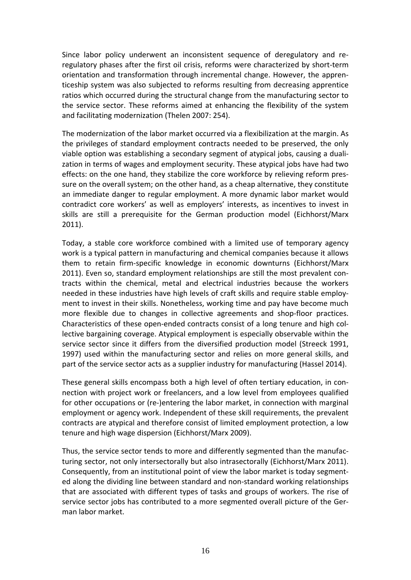Since labor policy underwent an inconsistent sequence of deregulatory and reregulatory phases after the first oil crisis, reforms were characterized by short-term orientation and transformation through incremental change. However, the apprenticeship system was also subjected to reforms resulting from decreasing apprentice ratios which occurred during the structural change from the manufacturing sector to the service sector. These reforms aimed at enhancing the flexibility of the system and facilitating modernization (Thelen 2007: 254).

The modernization of the labor market occurred via a flexibilization at the margin. As the privileges of standard employment contracts needed to be preserved, the only viable option was establishing a secondary segment of atypical jobs, causing a dualization in terms of wages and employment security. These atypical jobs have had two effects: on the one hand, they stabilize the core workforce by relieving reform pressure on the overall system; on the other hand, as a cheap alternative, they constitute an immediate danger to regular employment. A more dynamic labor market would contradict core workers' as well as employers' interests, as incentives to invest in skills are still a prerequisite for the German production model (Eichhorst/Marx 2011).

Today, a stable core workforce combined with a limited use of temporary agency work is a typical pattern in manufacturing and chemical companies because it allows them to retain firm-specific knowledge in economic downturns (Eichhorst/Marx 2011). Even so, standard employment relationships are still the most prevalent contracts within the chemical, metal and electrical industries because the workers needed in these industries have high levels of craft skills and require stable employment to invest in their skills. Nonetheless, working time and pay have become much more flexible due to changes in collective agreements and shop-floor practices. Characteristics of these open-ended contracts consist of a long tenure and high collective bargaining coverage. Atypical employment is especially observable within the service sector since it differs from the diversified production model (Streeck 1991, 1997) used within the manufacturing sector and relies on more general skills, and part of the service sector acts as a supplier industry for manufacturing (Hassel 2014).

These general skills encompass both a high level of often tertiary education, in connection with project work or freelancers, and a low level from employees qualified for other occupations or (re-)entering the labor market, in connection with marginal employment or agency work. Independent of these skill requirements, the prevalent contracts are atypical and therefore consist of limited employment protection, a low tenure and high wage dispersion (Eichhorst/Marx 2009).

Thus, the service sector tends to more and differently segmented than the manufacturing sector, not only intersectorally but also intrasectorally (Eichhorst/Marx 2011). Consequently, from an institutional point of view the labor market is today segmented along the dividing line between standard and non-standard working relationships that are associated with different types of tasks and groups of workers. The rise of service sector jobs has contributed to a more segmented overall picture of the German labor market.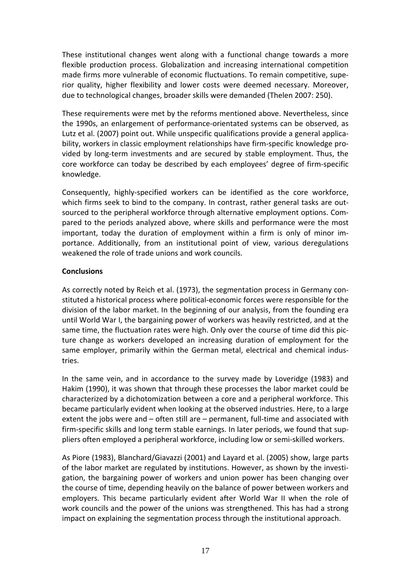These institutional changes went along with a functional change towards a more flexible production process. Globalization and increasing international competition made firms more vulnerable of economic fluctuations. To remain competitive, superior quality, higher flexibility and lower costs were deemed necessary. Moreover, due to technological changes, broader skills were demanded (Thelen 2007: 250).

These requirements were met by the reforms mentioned above. Nevertheless, since the 1990s, an enlargement of performance-orientated systems can be observed, as Lutz et al. (2007) point out. While unspecific qualifications provide a general applicability, workers in classic employment relationships have firm-specific knowledge provided by long-term investments and are secured by stable employment. Thus, the core workforce can today be described by each employees' degree of firm-specific knowledge.

Consequently, highly-specified workers can be identified as the core workforce, which firms seek to bind to the company. In contrast, rather general tasks are outsourced to the peripheral workforce through alternative employment options. Compared to the periods analyzed above, where skills and performance were the most important, today the duration of employment within a firm is only of minor importance. Additionally, from an institutional point of view, various deregulations weakened the role of trade unions and work councils.

#### **Conclusions**

As correctly noted by Reich et al. (1973), the segmentation process in Germany constituted a historical process where political-economic forces were responsible for the division of the labor market. In the beginning of our analysis, from the founding era until World War I, the bargaining power of workers was heavily restricted, and at the same time, the fluctuation rates were high. Only over the course of time did this picture change as workers developed an increasing duration of employment for the same employer, primarily within the German metal, electrical and chemical industries.

In the same vein, and in accordance to the survey made by Loveridge (1983) and Hakim (1990), it was shown that through these processes the labor market could be characterized by a dichotomization between a core and a peripheral workforce. This became particularly evident when looking at the observed industries. Here, to a large extent the jobs were and – often still are – permanent, full-time and associated with firm-specific skills and long term stable earnings. In later periods, we found that suppliers often employed a peripheral workforce, including low or semi-skilled workers.

As Piore (1983), Blanchard/Giavazzi (2001) and Layard et al. (2005) show, large parts of the labor market are regulated by institutions. However, as shown by the investigation, the bargaining power of workers and union power has been changing over the course of time, depending heavily on the balance of power between workers and employers. This became particularly evident after World War II when the role of work councils and the power of the unions was strengthened. This has had a strong impact on explaining the segmentation process through the institutional approach.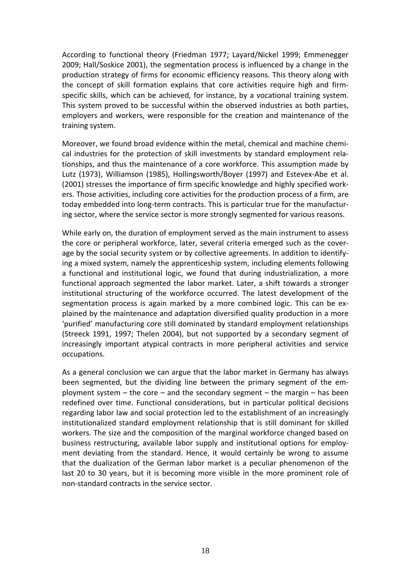According to functional theory (Friedman 1977; Layard/Nickel 1999; Emmenegger 2009; Hall/Soskice 2001), the segmentation process is influenced by a change in the production strategy of firms for economic efficiency reasons. This theory along with the concept of skill formation explains that core activities require high and firmspecific skills, which can be achieved, for instance, by a vocational training system. This system proved to be successful within the observed industries as both parties, employers and workers, were responsible for the creation and maintenance of the training system.

Moreover, we found broad evidence within the metal, chemical and machine chemical industries for the protection of skill investments by standard employment relationships, and thus the maintenance of a core workforce. This assumption made by Lutz (1973), Williamson (1985), Hollingsworth/Boyer (1997) and Estevex-Abe et al. (2001) stresses the importance of firm specific knowledge and highly specified workers. Those activities, including core activities for the production process of a firm, are today embedded into long-term contracts. This is particular true for the manufacturing sector, where the service sector is more strongly segmented for various reasons.

While early on, the duration of employment served as the main instrument to assess the core or peripheral workforce, later, several criteria emerged such as the coverage by the social security system or by collective agreements. In addition to identifying a mixed system, namely the apprenticeship system, including elements following a functional and institutional logic, we found that during industrialization, a more functional approach segmented the labor market. Later, a shift towards a stronger institutional structuring of the workforce occurred. The latest development of the segmentation process is again marked by a more combined logic. This can be explained by the maintenance and adaptation diversified quality production in a more 'purified' manufacturing core still dominated by standard employment relationships (Streeck 1991, 1997; Thelen 2004), but not supported by a secondary segment of increasingly important atypical contracts in more peripheral activities and service occupations.

As a general conclusion we can argue that the labor market in Germany has always been segmented, but the dividing line between the primary segment of the employment system – the core – and the secondary segment – the margin – has been redefined over time. Functional considerations, but in particular political decisions regarding labor law and social protection led to the establishment of an increasingly institutionalized standard employment relationship that is still dominant for skilled workers. The size and the composition of the marginal workforce changed based on business restructuring, available labor supply and institutional options for employment deviating from the standard. Hence, it would certainly be wrong to assume that the dualization of the German labor market is a peculiar phenomenon of the last 20 to 30 years, but it is becoming more visible in the more prominent role of non-standard contracts in the service sector.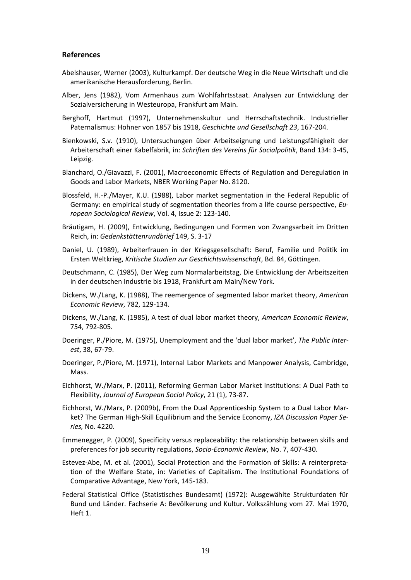#### **References**

- Abelshauser, Werner (2003), Kulturkampf. Der deutsche Weg in die Neue Wirtschaft und die amerikanische Herausforderung, Berlin.
- Alber, Jens (1982), Vom Armenhaus zum Wohlfahrtsstaat. Analysen zur Entwicklung der Sozialversicherung in Westeuropa, Frankfurt am Main.
- Berghoff, Hartmut (1997), Unternehmenskultur und Herrschaftstechnik. Industrieller Paternalismus: Hohner von 1857 bis 1918, *Geschichte und Gesellschaft 23*, 167-204.
- Bienkowski, S.v. (1910), Untersuchungen über Arbeitseignung und Leistungsfähigkeit der Arbeiterschaft einer Kabelfabrik, in: *Schriften des Vereins für Socialpolitik*, Band 134: 3-45, Leipzig.
- Blanchard, O./Giavazzi, F. (2001), Macroeconomic Effects of Regulation and Deregulation in Goods and Labor Markets, NBER Working Paper No. 8120.
- Blossfeld, H.-P./Mayer, K.U. (1988), Labor market segmentation in the Federal Republic of Germany: en empirical study of segmentation theories from a life course perspective, *European Sociological Review*, Vol. 4, Issue 2: 123-140.
- Bräutigam, H. (2009), Entwicklung, Bedingungen und Formen von Zwangsarbeit im Dritten Reich, in: *Gedenkstättenrundbrief* 149, S. 3-17
- Daniel, U. (1989), Arbeiterfrauen in der Kriegsgesellschaft: Beruf, Familie und Politik im Ersten Weltkrieg, *Kritische Studien zur Geschichtswissenschaft*, Bd. 84, Göttingen.
- Deutschmann, C. (1985), Der Weg zum Normalarbeitstag, Die Entwicklung der Arbeitszeiten in der deutschen Industrie bis 1918, Frankfurt am Main/New York.
- Dickens, W./Lang, K. (1988), The reemergence of segmented labor market theory, *American Economic Review*, 782, 129-134.
- Dickens, W./Lang, K. (1985), A test of dual labor market theory, *American Economic Review*, 754, 792-805.
- Doeringer, P./Piore, M. (1975), Unemployment and the 'dual labor market', *The Public Interest*, 38, 67-79.
- Doeringer, P./Piore, M. (1971), Internal Labor Markets and Manpower Analysis, Cambridge, Mass.
- Eichhorst, W./Marx, P. (2011), Reforming German Labor Market Institutions: A Dual Path to Flexibility, *Journal of European Social Policy*, 21 (1), 73-87.
- Eichhorst, W./Marx, P. (2009b), From the Dual Apprenticeship System to a Dual Labor Market? The German High-Skill Equilibrium and the Service Economy, *IZA Discussion Paper Series,* No. 4220.
- Emmenegger, P. (2009), Specificity versus replaceability: the relationship between skills and preferences for job security regulations, *Socio-Economic Review*, No. 7, 407-430.
- Estevez-Abe, M. et al. (2001), Social Protection and the Formation of Skills: A reinterpretation of the Welfare State, in: Varieties of Capitalism. The Institutional Foundations of Comparative Advantage, New York, 145-183.
- Federal Statistical Office (Statistisches Bundesamt) (1972): Ausgewählte Strukturdaten für Bund und Länder. Fachserie A: Bevölkerung und Kultur. Volkszählung vom 27. Mai 1970, Heft 1.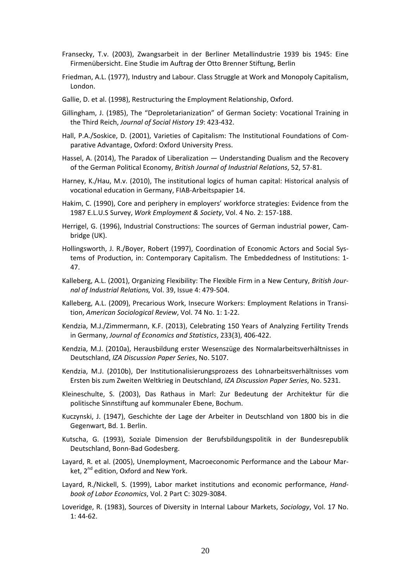- Fransecky, T.v. (2003), Zwangsarbeit in der Berliner Metallindustrie 1939 bis 1945: Eine Firmenübersicht. Eine Studie im Auftrag der Otto Brenner Stiftung, Berlin
- Friedman, A.L. (1977), Industry and Labour. Class Struggle at Work and Monopoly Capitalism, London.
- Gallie, D. et al. (1998), Restructuring the Employment Relationship, Oxford.
- Gillingham, J. (1985), The "Deproletarianization" of German Society: Vocational Training in the Third Reich, *Journal of Social History 19*: 423-432.
- Hall, P.A./Soskice, D. (2001), Varieties of Capitalism: The Institutional Foundations of Comparative Advantage, Oxford: Oxford University Press.
- Hassel, A. (2014), The Paradox of Liberalization Understanding Dualism and the Recovery of the German Political Economy, *British Journal of Industrial Relations*, 52, 57-81.
- Harney, K./Hau, M.v. (2010), The institutional logics of human capital: Historical analysis of vocational education in Germany, FIAB-Arbeitspapier 14.
- Hakim, C. (1990), Core and periphery in employers' workforce strategies: Evidence from the 1987 E.L.U.S Survey, *Work Employment & Society*, Vol. 4 No. 2: 157-188.
- Herrigel, G. (1996), Industrial Constructions: The sources of German industrial power, Cambridge (UK).
- Hollingsworth, J. R./Boyer, Robert (1997), Coordination of Economic Actors and Social Systems of Production, in: Contemporary Capitalism. The Embeddedness of Institutions: 1- 47.
- Kalleberg, A.L. (2001), Organizing Flexibility: The Flexible Firm in a New Century, *British Journal of Industrial Relations,* Vol. 39, Issue 4: 479-504.
- Kalleberg, A.L. (2009), Precarious Work, Insecure Workers: Employment Relations in Transition, *American Sociological Review*, Vol. 74 No. 1: 1-22.
- Kendzia, M.J./Zimmermann, K.F. (2013), Celebrating 150 Years of Analyzing Fertility Trends in Germany, *Journal of Economics and Statistics*, 233(3), 406-422.
- Kendzia, M.J. (2010a), Herausbildung erster Wesenszüge des Normalarbeitsverhältnisses in Deutschland, *IZA Discussion Paper Series*, No. 5107.
- Kendzia, M.J. (2010b), Der Institutionalisierungsprozess des Lohnarbeitsverhältnisses vom Ersten bis zum Zweiten Weltkrieg in Deutschland, *IZA Discussion Paper Series*, No. 5231.
- Kleineschulte, S. (2003), Das Rathaus in Marl: Zur Bedeutung der Architektur für die politische Sinnstiftung auf kommunaler Ebene, Bochum.
- Kuczynski, J. (1947), Geschichte der Lage der Arbeiter in Deutschland von 1800 bis in die Gegenwart, Bd. 1. Berlin.
- Kutscha, G. (1993), Soziale Dimension der Berufsbildungspolitik in der Bundesrepublik Deutschland, Bonn-Bad Godesberg.
- Layard, R. et al. (2005), Unemployment, Macroeconomic Performance and the Labour Market, 2<sup>nd</sup> edition, Oxford and New York.
- Layard, R./Nickell, S. (1999), Labor market institutions and economic performance, *Handbook of Labor Economics*, Vol. 2 Part C: 3029-3084.
- Loveridge, R. (1983), Sources of Diversity in Internal Labour Markets, *Sociology*, Vol. 17 No. 1: 44-62.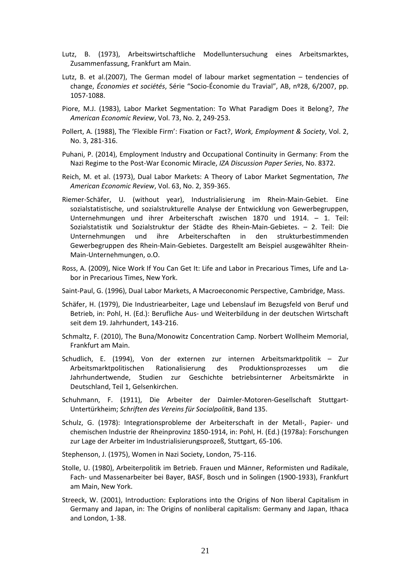- Lutz, B. (1973), Arbeitswirtschaftliche Modelluntersuchung eines Arbeitsmarktes, Zusammenfassung, Frankfurt am Main.
- Lutz, B. et al.(2007), The German model of labour market segmentation tendencies of change, *Économies et sociétés*, Série "Socio-Économie du Travial", AB, nº28, 6/2007, pp. 1057-1088.
- Piore, M.J. (1983), Labor Market Segmentation: To What Paradigm Does it Belong?, *The American Economic Review*, Vol. 73, No. 2, 249-253.
- Pollert, A. (1988), The 'Flexible Firm': Fixation or Fact?, *Work, Employment & Society*, Vol. 2, No. 3, 281-316.
- Puhani, P. (2014), Employment Industry and Occupational Continuity in Germany: From the Nazi Regime to the Post-War Economic Miracle, *IZA Discussion Paper Series*, No. 8372.
- Reich, M. et al. (1973), Dual Labor Markets: A Theory of Labor Market Segmentation, *The American Economic Review*, Vol. 63, No. 2, 359-365.
- Riemer-Schäfer, U. (without year), Industrialisierung im Rhein-Main-Gebiet. Eine sozialstatistische, und sozialstrukturelle Analyse der Entwicklung von Gewerbegruppen, Unternehmungen und ihrer Arbeiterschaft zwischen 1870 und 1914. – 1. Teil: Sozialstatistik und Sozialstruktur der Städte des Rhein-Main-Gebietes. – 2. Teil: Die Unternehmungen und ihre Arbeiterschaften in den strukturbestimmenden Gewerbegruppen des Rhein-Main-Gebietes. Dargestellt am Beispiel ausgewählter Rhein-Main-Unternehmungen, o.O.
- Ross, A. (2009), Nice Work If You Can Get It: Life and Labor in Precarious Times, Life and Labor in Precarious Times, New York.

Saint-Paul, G. (1996), Dual Labor Markets, A Macroeconomic Perspective, Cambridge, Mass.

- Schäfer, H. (1979), Die Industriearbeiter, Lage und Lebenslauf im Bezugsfeld von Beruf und Betrieb, in: Pohl, H. (Ed.): Berufliche Aus- und Weiterbildung in der deutschen Wirtschaft seit dem 19. Jahrhundert, 143-216.
- Schmaltz, F. (2010), The Buna/Monowitz Concentration Camp. Norbert Wollheim Memorial, Frankfurt am Main.
- Schudlich, E. (1994), Von der externen zur internen Arbeitsmarktpolitik Zur Arbeitsmarktpolitischen Rationalisierung des Produktionsprozesses um die Jahrhundertwende, Studien zur Geschichte betriebsinterner Arbeitsmärkte in Deutschland, Teil 1, Gelsenkirchen.
- Schuhmann, F. (1911), Die Arbeiter der Daimler-Motoren-Gesellschaft Stuttgart-Untertürkheim; *Schriften des Vereins für Socialpolitik*, Band 135.
- Schulz, G. (1978): Integrationsprobleme der Arbeiterschaft in der Metall-, Papier- und chemischen Industrie der Rheinprovinz 1850-1914, in: Pohl, H. (Ed.) (1978a): Forschungen zur Lage der Arbeiter im Industrialisierungsprozeß, Stuttgart, 65-106.
- Stephenson, J. (1975), Women in Nazi Society, London, 75-116.
- Stolle, U. (1980), Arbeiterpolitik im Betrieb. Frauen und Männer, Reformisten und Radikale, Fach- und Massenarbeiter bei Bayer, BASF, Bosch und in Solingen (1900-1933), Frankfurt am Main, New York.
- Streeck, W. (2001), Introduction: Explorations into the Origins of Non liberal Capitalism in Germany and Japan, in: The Origins of nonliberal capitalism: Germany and Japan, Ithaca and London, 1-38.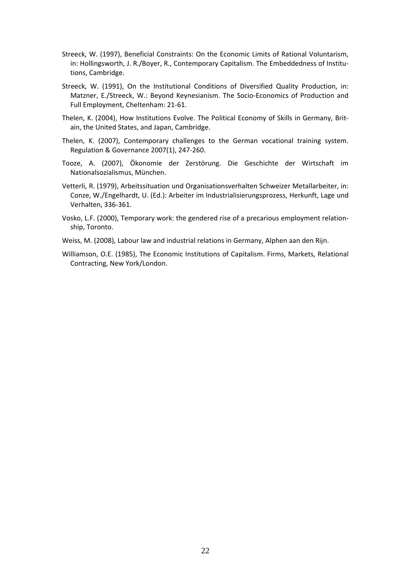- Streeck, W. (1997), Beneficial Constraints: On the Economic Limits of Rational Voluntarism, in: Hollingsworth, J. R./Boyer, R., Contemporary Capitalism. The Embeddedness of Institutions, Cambridge.
- Streeck, W. (1991), On the Institutional Conditions of Diversified Quality Production, in: Matzner, E./Streeck, W.: Beyond Keynesianism. The Socio-Economics of Production and Full Employment, Cheltenham: 21-61.
- Thelen, K. (2004), How Institutions Evolve. The Political Economy of Skills in Germany, Britain, the United States, and Japan, Cambridge.
- Thelen, K. (2007), Contemporary challenges to the German vocational training system. Regulation & Governance 2007(1), 247-260.
- Tooze, A. (2007), Ökonomie der Zerstörung. Die Geschichte der Wirtschaft im Nationalsozialismus, München.
- Vetterli, R. (1979), Arbeitssituation und Organisationsverhalten Schweizer Metallarbeiter, in: Conze, W./Engelhardt, U. (Ed.): Arbeiter im Industrialisierungsprozess, Herkunft, Lage und Verhalten, 336-361.
- Vosko, L.F. (2000), Temporary work: the gendered rise of a precarious employment relationship, Toronto.
- Weiss, M. (2008), Labour law and industrial relations in Germany, Alphen aan den Rijn.
- Williamson, O.E. (1985), The Economic Institutions of Capitalism. Firms, Markets, Relational Contracting, New York/London.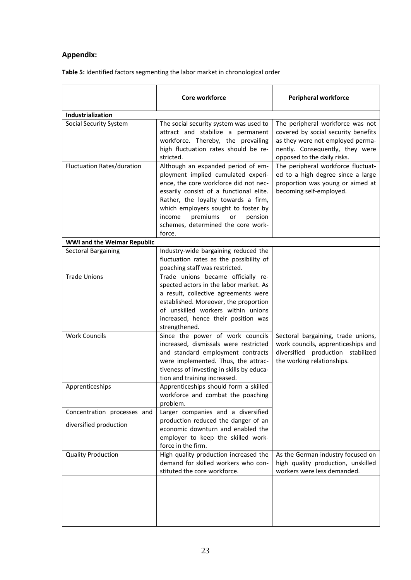### **Appendix:**

|                                                       | Core workforce                                                                                                                                                                                                                                                                                                                    | <b>Peripheral workforce</b>                                                                                                                                                   |  |
|-------------------------------------------------------|-----------------------------------------------------------------------------------------------------------------------------------------------------------------------------------------------------------------------------------------------------------------------------------------------------------------------------------|-------------------------------------------------------------------------------------------------------------------------------------------------------------------------------|--|
| Industrialization                                     |                                                                                                                                                                                                                                                                                                                                   |                                                                                                                                                                               |  |
| Social Security System                                | The social security system was used to<br>attract and stabilize a permanent<br>workforce. Thereby, the prevailing<br>high fluctuation rates should be re-<br>stricted.                                                                                                                                                            | The peripheral workforce was not<br>covered by social security benefits<br>as they were not employed perma-<br>nently. Consequently, they were<br>opposed to the daily risks. |  |
| <b>Fluctuation Rates/duration</b>                     | Although an expanded period of em-<br>ployment implied cumulated experi-<br>ence, the core workforce did not nec-<br>essarily consist of a functional elite.<br>Rather, the loyalty towards a firm,<br>which employers sought to foster by<br>premiums<br>income<br>pension<br>or<br>schemes, determined the core work-<br>force. | The peripheral workforce fluctuat-<br>ed to a high degree since a large<br>proportion was young or aimed at<br>becoming self-employed.                                        |  |
| <b>WWI and the Weimar Republic</b>                    |                                                                                                                                                                                                                                                                                                                                   |                                                                                                                                                                               |  |
| <b>Sectoral Bargaining</b>                            | Industry-wide bargaining reduced the<br>fluctuation rates as the possibility of<br>poaching staff was restricted.                                                                                                                                                                                                                 |                                                                                                                                                                               |  |
| <b>Trade Unions</b>                                   | Trade unions became officially re-<br>spected actors in the labor market. As<br>a result, collective agreements were<br>established. Moreover, the proportion<br>of unskilled workers within unions<br>increased, hence their position was<br>strengthened.                                                                       |                                                                                                                                                                               |  |
| <b>Work Councils</b>                                  | Since the power of work councils<br>increased, dismissals were restricted<br>and standard employment contracts<br>were implemented. Thus, the attrac-<br>tiveness of investing in skills by educa-<br>tion and training increased.                                                                                                | Sectoral bargaining, trade unions,<br>work councils, apprenticeships and<br>diversified production stabilized<br>the working relationships.                                   |  |
| Apprenticeships                                       | Apprenticeships should form a skilled<br>workforce and combat the poaching<br>problem.                                                                                                                                                                                                                                            |                                                                                                                                                                               |  |
| Concentration processes and<br>diversified production | Larger companies and a diversified<br>production reduced the danger of an<br>economic downturn and enabled the<br>employer to keep the skilled work-<br>force in the firm.                                                                                                                                                        |                                                                                                                                                                               |  |
| <b>Quality Production</b>                             | High quality production increased the<br>demand for skilled workers who con-<br>stituted the core workforce.                                                                                                                                                                                                                      | As the German industry focused on<br>high quality production, unskilled<br>workers were less demanded.                                                                        |  |
|                                                       |                                                                                                                                                                                                                                                                                                                                   |                                                                                                                                                                               |  |